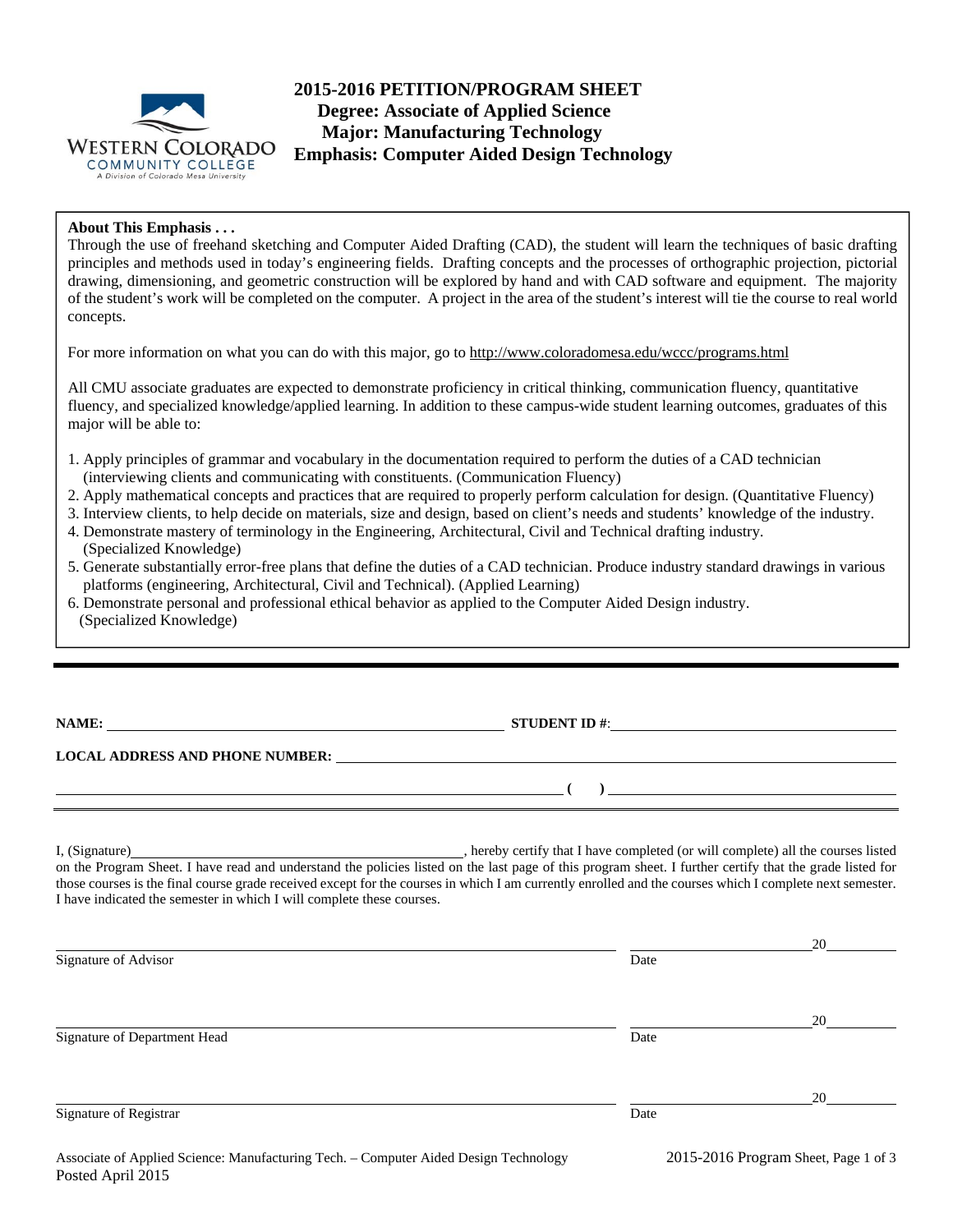

# **2015-2016 PETITION/PROGRAM SHEET Degree: Associate of Applied Science Major: Manufacturing Technology Emphasis: Computer Aided Design Technology**

## **About This Emphasis . . .**

Through the use of freehand sketching and Computer Aided Drafting (CAD), the student will learn the techniques of basic drafting principles and methods used in today's engineering fields. Drafting concepts and the processes of orthographic projection, pictorial drawing, dimensioning, and geometric construction will be explored by hand and with CAD software and equipment. The majority of the student's work will be completed on the computer. A project in the area of the student's interest will tie the course to real world concepts.

For more information on what you can do with this major, go to http://www.coloradomesa.edu/wccc/programs.html

All CMU associate graduates are expected to demonstrate proficiency in critical thinking, communication fluency, quantitative fluency, and specialized knowledge/applied learning. In addition to these campus-wide student learning outcomes, graduates of this major will be able to:

- 1. Apply principles of grammar and vocabulary in the documentation required to perform the duties of a CAD technician (interviewing clients and communicating with constituents. (Communication Fluency)
- 2. Apply mathematical concepts and practices that are required to properly perform calculation for design. (Quantitative Fluency)
- 3. Interview clients, to help decide on materials, size and design, based on client's needs and students' knowledge of the industry.
- 4. Demonstrate mastery of terminology in the Engineering, Architectural, Civil and Technical drafting industry. (Specialized Knowledge)
- 5. Generate substantially error-free plans that define the duties of a CAD technician. Produce industry standard drawings in various platforms (engineering, Architectural, Civil and Technical). (Applied Learning)
- 6. Demonstrate personal and professional ethical behavior as applied to the Computer Aided Design industry. (Specialized Knowledge)

**NAME: STUDENT ID #: STUDENT ID #: STUDENT ID #: STUDENT ID #: STUDENT ID #: STUDENT ID #: STUDENT ID #: STUDENT ID #: STUDENT ID #: STUDENT ID #: STUDENT ID #: STUDENT ID #: STUDENT ID #: STUDE** 

## **LOCAL ADDRESS AND PHONE NUMBER:**

I, (Signature) , hereby certify that I have completed (or will complete) all the courses listed on the Program Sheet. I have read and understand the policies listed on the last page of this program sheet. I further certify that the grade listed for those courses is the final course grade received except for the courses in which I am currently enrolled and the courses which I complete next semester. I have indicated the semester in which I will complete these courses.

|                              |                                                                                                                 | 20 |
|------------------------------|-----------------------------------------------------------------------------------------------------------------|----|
| Signature of Advisor         | Date                                                                                                            |    |
|                              |                                                                                                                 | 20 |
| Signature of Department Head | Date                                                                                                            |    |
|                              |                                                                                                                 | 20 |
| Signature of Registrar       | Date                                                                                                            |    |
|                              | the contract of the contract of the contract of the contract of the contract of the contract of the contract of |    |

 **( )**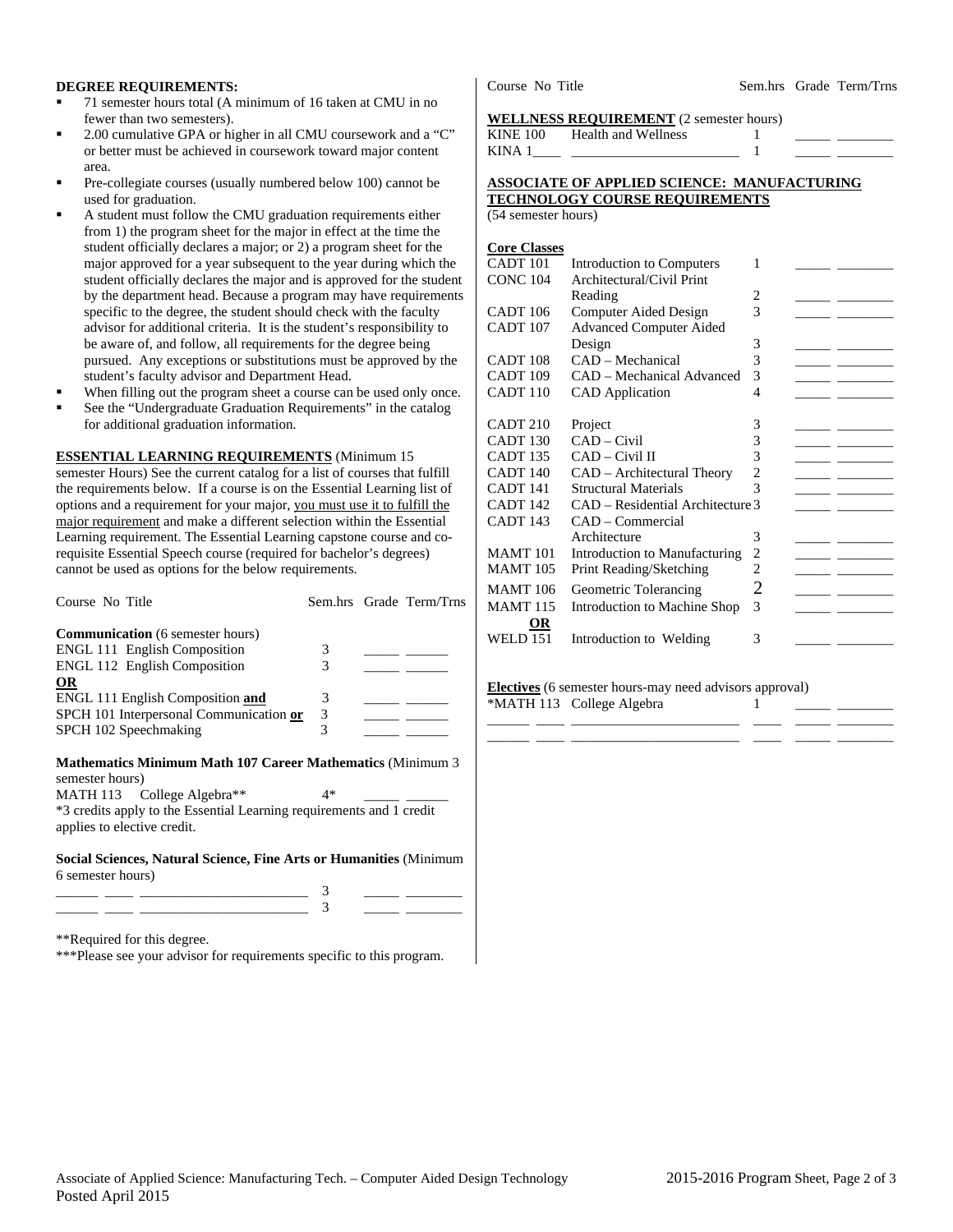#### **DEGREE REQUIREMENTS:**

- 71 semester hours total (A minimum of 16 taken at CMU in no fewer than two semesters).
- 2.00 cumulative GPA or higher in all CMU coursework and a "C" or better must be achieved in coursework toward major content area.
- Pre-collegiate courses (usually numbered below 100) cannot be used for graduation.
- A student must follow the CMU graduation requirements either from 1) the program sheet for the major in effect at the time the student officially declares a major; or 2) a program sheet for the major approved for a year subsequent to the year during which the student officially declares the major and is approved for the student by the department head. Because a program may have requirements specific to the degree, the student should check with the faculty advisor for additional criteria. It is the student's responsibility to be aware of, and follow, all requirements for the degree being pursued. Any exceptions or substitutions must be approved by the student's faculty advisor and Department Head.
- When filling out the program sheet a course can be used only once.
- See the "Undergraduate Graduation Requirements" in the catalog for additional graduation information.

#### **ESSENTIAL LEARNING REQUIREMENTS** (Minimum 15

semester Hours) See the current catalog for a list of courses that fulfill the requirements below. If a course is on the Essential Learning list of options and a requirement for your major, you must use it to fulfill the major requirement and make a different selection within the Essential Learning requirement. The Essential Learning capstone course and corequisite Essential Speech course (required for bachelor's degrees) cannot be used as options for the below requirements.

| Course No Title                                                                                     |    | Sem.hrs Grade Term/Trns |
|-----------------------------------------------------------------------------------------------------|----|-------------------------|
| <b>Communication</b> (6 semester hours)                                                             |    |                         |
| <b>ENGL 111 English Composition</b>                                                                 | 3  |                         |
| <b>ENGL 112 English Composition</b>                                                                 | 3  |                         |
| <b>OR</b>                                                                                           |    |                         |
| ENGL 111 English Composition and                                                                    | 3  |                         |
| SPCH 101 Interpersonal Communication or                                                             | 3  |                         |
| SPCH 102 Speechmaking                                                                               | 3  |                         |
| <b>Mathematics Minimum Math 107 Career Mathematics (Minimum 3)</b><br>semester hours)               |    |                         |
| MATH 113 College Algebra**                                                                          | 4* |                         |
| *3 credits apply to the Essential Learning requirements and 1 credit<br>applies to elective credit. |    |                         |

**Social Sciences, Natural Science, Fine Arts or Humanities** (Minimum 6 semester hours)

\*\*Required for this degree.

\*\*\*Please see your advisor for requirements specific to this program.

Course No Title Sem.hrs Grade Term/Trns

#### **WELLNESS REQUIREMENT** (2 semester hours)

| <b>KINE 100</b> | Health and Wellness |  |  |
|-----------------|---------------------|--|--|
| KINA            |                     |  |  |

#### **ASSOCIATE OF APPLIED SCIENCE: MANUFACTURING TECHNOLOGY COURSE REQUIREMENTS**

(54 semester hours)

| <b>Core Classes</b> |                                  |   |  |
|---------------------|----------------------------------|---|--|
| CADT 101            | Introduction to Computers        | 1 |  |
| <b>CONC 104</b>     | Architectural/Civil Print        |   |  |
|                     | Reading                          | 2 |  |
| CADT 106            | Computer Aided Design            | 3 |  |
| CADT <sub>107</sub> | <b>Advanced Computer Aided</b>   |   |  |
|                     | Design                           | 3 |  |
| CADT <sub>108</sub> | CAD - Mechanical                 | 3 |  |
| CADT <sub>109</sub> | CAD – Mechanical Advanced        | 3 |  |
| CADT <sub>110</sub> | <b>CAD</b> Application           | 4 |  |
|                     |                                  |   |  |
| CADT 210            | Project                          | 3 |  |
| CADT <sub>130</sub> | $CAD$ – Civil                    | 3 |  |
| <b>CADT 135</b>     | CAD – Civil II                   | 3 |  |
| CADT <sub>140</sub> | CAD – Architectural Theory       | 2 |  |
| <b>CADT 141</b>     | Structural Materials             | 3 |  |
| CADT <sub>142</sub> | CAD – Residential Architecture 3 |   |  |
| CADT <sub>143</sub> | CAD – Commercial                 |   |  |
|                     | Architecture                     | 3 |  |
| <b>MAMT</b> 101     | Introduction to Manufacturing    | 2 |  |
| <b>MAMT</b> 105     | Print Reading/Sketching          | 2 |  |
| <b>MAMT</b> 106     | Geometric Tolerancing            | 2 |  |
| <b>MAMT 115</b>     | Introduction to Machine Shop     | 3 |  |
| OR                  |                                  |   |  |
| <b>WELD 151</b>     | Introduction to Welding          | 3 |  |

**Electives** (6 semester hours-may need advisors approval) \*MATH 113 College Algebra 1

\_\_\_\_\_\_ \_\_\_\_ \_\_\_\_\_\_\_\_\_\_\_\_\_\_\_\_\_\_\_\_\_\_\_\_ \_\_\_\_ \_\_\_\_\_ \_\_\_\_\_\_\_\_ \_\_\_\_\_\_ \_\_\_\_ \_\_\_\_\_\_\_\_\_\_\_\_\_\_\_\_\_\_\_\_\_\_\_\_ \_\_\_\_ \_\_\_\_\_ \_\_\_\_\_\_\_\_